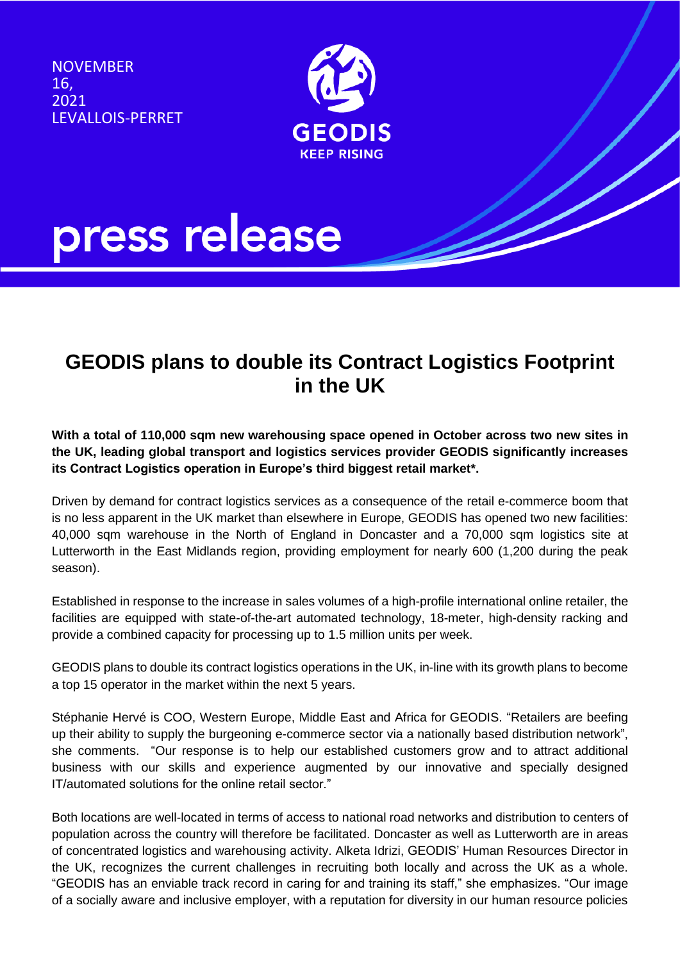**NOVEMBER** 16, 2021 LEVALLOIS-PERRET



# press release

### **GEODIS plans to double its Contract Logistics Footprint in the UK**

**With a total of 110,000 sqm new warehousing space opened in October across two new sites in the UK, leading global transport and logistics services provider GEODIS significantly increases its Contract Logistics operation in Europe's third biggest retail market\*.** 

Driven by demand for contract logistics services as a consequence of the retail e-commerce boom that is no less apparent in the UK market than elsewhere in Europe, GEODIS has opened two new facilities: 40,000 sqm warehouse in the North of England in Doncaster and a 70,000 sqm logistics site at Lutterworth in the East Midlands region, providing employment for nearly 600 (1,200 during the peak season).

Established in response to the increase in sales volumes of a high-profile international online retailer, the facilities are equipped with state-of-the-art automated technology, 18-meter, high-density racking and provide a combined capacity for processing up to 1.5 million units per week.

GEODIS plans to double its contract logistics operations in the UK, in-line with its growth plans to become a top 15 operator in the market within the next 5 years.

Stéphanie Hervé is COO, Western Europe, Middle East and Africa for GEODIS. "Retailers are beefing up their ability to supply the burgeoning e-commerce sector via a nationally based distribution network", she comments. "Our response is to help our established customers grow and to attract additional business with our skills and experience augmented by our innovative and specially designed IT/automated solutions for the online retail sector."

Both locations are well-located in terms of access to national road networks and distribution to centers of population across the country will therefore be facilitated. Doncaster as well as Lutterworth are in areas of concentrated logistics and warehousing activity. Alketa Idrizi, GEODIS' Human Resources Director in the UK, recognizes the current challenges in recruiting both locally and across the UK as a whole. "GEODIS has an enviable track record in caring for and training its staff," she emphasizes. "Our image of a socially aware and inclusive employer, with a reputation for diversity in our human resource policies